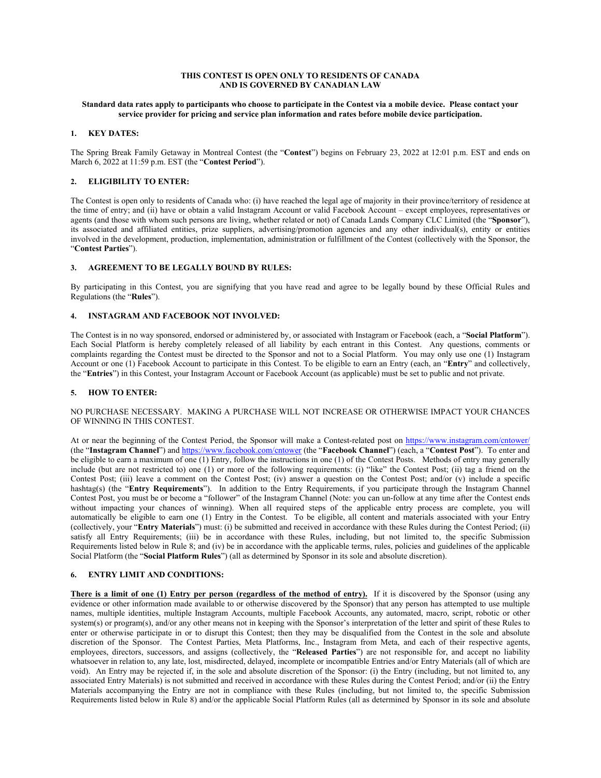## **THIS CONTEST IS OPEN ONLY TO RESIDENTS OF CANADA AND IS GOVERNED BY CANADIAN LAW**

## **Standard data rates apply to participants who choose to participate in the Contest via a mobile device. Please contact your service provider for pricing and service plan information and rates before mobile device participation.**

#### **1. KEY DATES:**

The Spring Break Family Getaway in Montreal Contest (the "**Contest**") begins on February 23, 2022 at 12:01 p.m. EST and ends on March 6, 2022 at 11:59 p.m. EST (the "**Contest Period**").

## **2. ELIGIBILITY TO ENTER:**

The Contest is open only to residents of Canada who: (i) have reached the legal age of majority in their province/territory of residence at the time of entry; and (ii) have or obtain a valid Instagram Account or valid Facebook Account – except employees, representatives or agents (and those with whom such persons are living, whether related or not) of Canada Lands Company CLC Limited (the "**Sponsor**"), its associated and affiliated entities, prize suppliers, advertising/promotion agencies and any other individual(s), entity or entities involved in the development, production, implementation, administration or fulfillment of the Contest (collectively with the Sponsor, the "**Contest Parties**").

## **3. AGREEMENT TO BE LEGALLY BOUND BY RULES:**

By participating in this Contest, you are signifying that you have read and agree to be legally bound by these Official Rules and Regulations (the "**Rules**").

# **4. INSTAGRAM AND FACEBOOK NOT INVOLVED:**

The Contest is in no way sponsored, endorsed or administered by, or associated with Instagram or Facebook (each, a "**Social Platform**"). Each Social Platform is hereby completely released of all liability by each entrant in this Contest. Any questions, comments or complaints regarding the Contest must be directed to the Sponsor and not to a Social Platform. You may only use one (1) Instagram Account or one (1) Facebook Account to participate in this Contest. To be eligible to earn an Entry (each, an "**Entry**" and collectively, the "**Entries**") in this Contest, your Instagram Account or Facebook Account (as applicable) must be set to public and not private.

#### **5. HOW TO ENTER:**

#### NO PURCHASE NECESSARY. MAKING A PURCHASE WILL NOT INCREASE OR OTHERWISE IMPACT YOUR CHANCES OF WINNING IN THIS CONTEST.

At or near the beginning of the Contest Period, the Sponsor will make a Contest-related post on<https://www.instagram.com/cntower/> (the "**Instagram Channel**") an[d https://www.facebook.com/cntower](https://www.facebook.com/cntower) (the "**Facebook Channel**") (each, a "**Contest Post**"). To enter and be eligible to earn a maximum of one (1) Entry, follow the instructions in one (1) of the Contest Posts. Methods of entry may generally include (but are not restricted to) one (1) or more of the following requirements: (i) "like" the Contest Post; (ii) tag a friend on the Contest Post; (iii) leave a comment on the Contest Post; (iv) answer a question on the Contest Post; and/or (v) include a specific hashtag(s) (the "**Entry Requirements**"). In addition to the Entry Requirements, if you participate through the Instagram Channel Contest Post, you must be or become a "follower" of the Instagram Channel (Note: you can un-follow at any time after the Contest ends without impacting your chances of winning). When all required steps of the applicable entry process are complete, you will automatically be eligible to earn one (1) Entry in the Contest. To be eligible, all content and materials associated with your Entry (collectively, your "**Entry Materials**") must: (i) be submitted and received in accordance with these Rules during the Contest Period; (ii) satisfy all Entry Requirements; (iii) be in accordance with these Rules, including, but not limited to, the specific Submission Requirements listed below in Rule 8; and (iv) be in accordance with the applicable terms, rules, policies and guidelines of the applicable Social Platform (the "**Social Platform Rules**") (all as determined by Sponsor in its sole and absolute discretion).

## **6. ENTRY LIMIT AND CONDITIONS:**

**There is a limit of one (1) Entry per person (regardless of the method of entry).** If it is discovered by the Sponsor (using any evidence or other information made available to or otherwise discovered by the Sponsor) that any person has attempted to use multiple names, multiple identities, multiple Instagram Accounts, multiple Facebook Accounts, any automated, macro, script, robotic or other system(s) or program(s), and/or any other means not in keeping with the Sponsor's interpretation of the letter and spirit of these Rules to enter or otherwise participate in or to disrupt this Contest; then they may be disqualified from the Contest in the sole and absolute discretion of the Sponsor. The Contest Parties, Meta Platforms, Inc., Instagram from Meta, and each of their respective agents, employees, directors, successors, and assigns (collectively, the "**Released Parties**") are not responsible for, and accept no liability whatsoever in relation to, any late, lost, misdirected, delayed, incomplete or incompatible Entries and/or Entry Materials (all of which are void). An Entry may be rejected if, in the sole and absolute discretion of the Sponsor: (i) the Entry (including, but not limited to, any associated Entry Materials) is not submitted and received in accordance with these Rules during the Contest Period; and/or (ii) the Entry Materials accompanying the Entry are not in compliance with these Rules (including, but not limited to, the specific Submission Requirements listed below in Rule 8) and/or the applicable Social Platform Rules (all as determined by Sponsor in its sole and absolute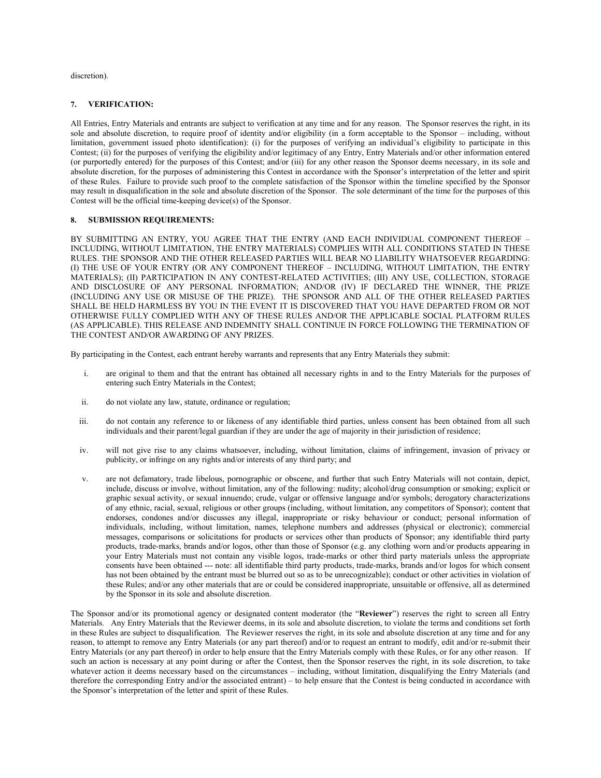discretion).

## **7. VERIFICATION:**

All Entries, Entry Materials and entrants are subject to verification at any time and for any reason. The Sponsor reserves the right, in its sole and absolute discretion, to require proof of identity and/or eligibility (in a form acceptable to the Sponsor – including, without limitation, government issued photo identification): (i) for the purposes of verifying an individual's eligibility to participate in this Contest; (ii) for the purposes of verifying the eligibility and/or legitimacy of any Entry, Entry Materials and/or other information entered (or purportedly entered) for the purposes of this Contest; and/or (iii) for any other reason the Sponsor deems necessary, in its sole and absolute discretion, for the purposes of administering this Contest in accordance with the Sponsor's interpretation of the letter and spirit of these Rules. Failure to provide such proof to the complete satisfaction of the Sponsor within the timeline specified by the Sponsor may result in disqualification in the sole and absolute discretion of the Sponsor. The sole determinant of the time for the purposes of this Contest will be the official time-keeping device(s) of the Sponsor.

# **8. SUBMISSION REQUIREMENTS:**

BY SUBMITTING AN ENTRY, YOU AGREE THAT THE ENTRY (AND EACH INDIVIDUAL COMPONENT THEREOF – INCLUDING, WITHOUT LIMITATION, THE ENTRY MATERIALS) COMPLIES WITH ALL CONDITIONS STATED IN THESE RULES. THE SPONSOR AND THE OTHER RELEASED PARTIES WILL BEAR NO LIABILITY WHATSOEVER REGARDING: (I) THE USE OF YOUR ENTRY (OR ANY COMPONENT THEREOF – INCLUDING, WITHOUT LIMITATION, THE ENTRY MATERIALS); (II) PARTICIPATION IN ANY CONTEST-RELATED ACTIVITIES; (III) ANY USE, COLLECTION, STORAGE AND DISCLOSURE OF ANY PERSONAL INFORMATION; AND/OR (IV) IF DECLARED THE WINNER, THE PRIZE (INCLUDING ANY USE OR MISUSE OF THE PRIZE). THE SPONSOR AND ALL OF THE OTHER RELEASED PARTIES SHALL BE HELD HARMLESS BY YOU IN THE EVENT IT IS DISCOVERED THAT YOU HAVE DEPARTED FROM OR NOT OTHERWISE FULLY COMPLIED WITH ANY OF THESE RULES AND/OR THE APPLICABLE SOCIAL PLATFORM RULES (AS APPLICABLE). THIS RELEASE AND INDEMNITY SHALL CONTINUE IN FORCE FOLLOWING THE TERMINATION OF THE CONTEST AND/OR AWARDING OF ANY PRIZES.

By participating in the Contest, each entrant hereby warrants and represents that any Entry Materials they submit:

- i. are original to them and that the entrant has obtained all necessary rights in and to the Entry Materials for the purposes of entering such Entry Materials in the Contest;
- ii. do not violate any law, statute, ordinance or regulation;
- iii. do not contain any reference to or likeness of any identifiable third parties, unless consent has been obtained from all such individuals and their parent/legal guardian if they are under the age of majority in their jurisdiction of residence;
- iv. will not give rise to any claims whatsoever, including, without limitation, claims of infringement, invasion of privacy or publicity, or infringe on any rights and/or interests of any third party; and
- v. are not defamatory, trade libelous, pornographic or obscene, and further that such Entry Materials will not contain, depict, include, discuss or involve, without limitation, any of the following: nudity; alcohol/drug consumption or smoking; explicit or graphic sexual activity, or sexual innuendo; crude, vulgar or offensive language and/or symbols; derogatory characterizations of any ethnic, racial, sexual, religious or other groups (including, without limitation, any competitors of Sponsor); content that endorses, condones and/or discusses any illegal, inappropriate or risky behaviour or conduct; personal information of individuals, including, without limitation, names, telephone numbers and addresses (physical or electronic); commercial messages, comparisons or solicitations for products or services other than products of Sponsor; any identifiable third party products, trade-marks, brands and/or logos, other than those of Sponsor (e.g. any clothing worn and/or products appearing in your Entry Materials must not contain any visible logos, trade-marks or other third party materials unless the appropriate consents have been obtained --- note: all identifiable third party products, trade-marks, brands and/or logos for which consent has not been obtained by the entrant must be blurred out so as to be unrecognizable); conduct or other activities in violation of these Rules; and/or any other materials that are or could be considered inappropriate, unsuitable or offensive, all as determined by the Sponsor in its sole and absolute discretion.

The Sponsor and/or its promotional agency or designated content moderator (the "**Reviewer**") reserves the right to screen all Entry Materials. Any Entry Materials that the Reviewer deems, in its sole and absolute discretion, to violate the terms and conditions set forth in these Rules are subject to disqualification. The Reviewer reserves the right, in its sole and absolute discretion at any time and for any reason, to attempt to remove any Entry Materials (or any part thereof) and/or to request an entrant to modify, edit and/or re-submit their Entry Materials (or any part thereof) in order to help ensure that the Entry Materials comply with these Rules, or for any other reason. If such an action is necessary at any point during or after the Contest, then the Sponsor reserves the right, in its sole discretion, to take whatever action it deems necessary based on the circumstances – including, without limitation, disqualifying the Entry Materials (and therefore the corresponding Entry and/or the associated entrant) – to help ensure that the Contest is being conducted in accordance with the Sponsor's interpretation of the letter and spirit of these Rules.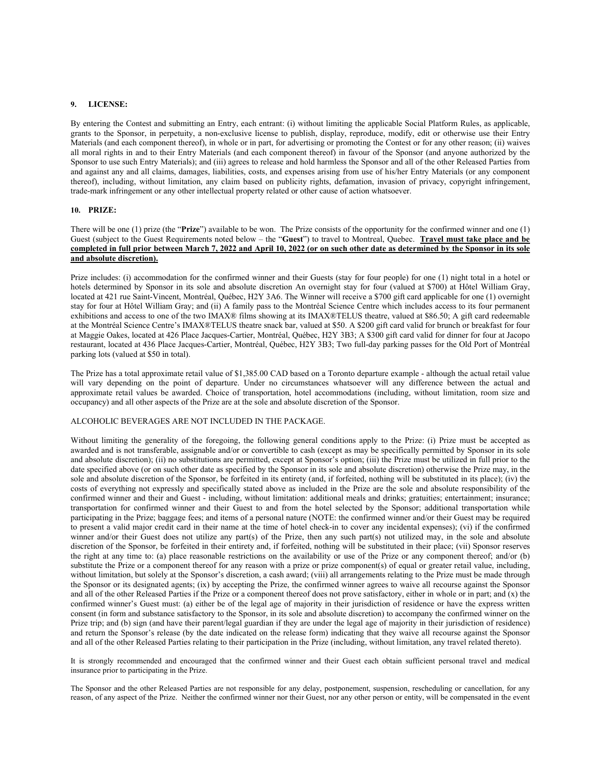# **9. LICENSE:**

By entering the Contest and submitting an Entry, each entrant: (i) without limiting the applicable Social Platform Rules, as applicable, grants to the Sponsor, in perpetuity, a non-exclusive license to publish, display, reproduce, modify, edit or otherwise use their Entry Materials (and each component thereof), in whole or in part, for advertising or promoting the Contest or for any other reason; (ii) waives all moral rights in and to their Entry Materials (and each component thereof) in favour of the Sponsor (and anyone authorized by the Sponsor to use such Entry Materials); and (iii) agrees to release and hold harmless the Sponsor and all of the other Released Parties from and against any and all claims, damages, liabilities, costs, and expenses arising from use of his/her Entry Materials (or any component thereof), including, without limitation, any claim based on publicity rights, defamation, invasion of privacy, copyright infringement, trade-mark infringement or any other intellectual property related or other cause of action whatsoever.

#### **10. PRIZE:**

There will be one (1) prize (the "**Prize**") available to be won. The Prize consists of the opportunity for the confirmed winner and one (1) Guest (subject to the Guest Requirements noted below – the "**Guest**") to travel to Montreal, Quebec. **Travel must take place and be completed in full prior between March 7, 2022 and April 10, 2022 (or on such other date as determined by the Sponsor in its sole and absolute discretion).**

Prize includes: (i) accommodation for the confirmed winner and their Guests (stay for four people) for one (1) night total in a hotel or hotels determined by Sponsor in its sole and absolute discretion An overnight stay for four (valued at \$700) at Hôtel William Gray, located at 421 rue Saint-Vincent, Montréal, Québec, H2Y 3A6. The Winner will receive a \$700 gift card applicable for one (1) overnight stay for four at Hôtel William Gray; and (ii) A family pass to the Montréal Science Centre which includes access to its four permanent exhibitions and access to one of the two IMAX® films showing at its IMAX®TELUS theatre, valued at \$86.50; A gift card redeemable at the Montréal Science Centre's IMAX®TELUS theatre snack bar, valued at \$50. A \$200 gift card valid for brunch or breakfast for four at Maggie Oakes, located at 426 Place Jacques-Cartier, Montréal, Québec, H2Y 3B3; A \$300 gift card valid for dinner for four at Jacopo restaurant, located at 436 Place Jacques-Cartier, Montréal, Québec, H2Y 3B3; Two full-day parking passes for the Old Port of Montréal parking lots (valued at \$50 in total).

The Prize has a total approximate retail value of \$1,385.00 CAD based on a Toronto departure example - although the actual retail value will vary depending on the point of departure. Under no circumstances whatsoever will any difference between the actual and approximate retail values be awarded. Choice of transportation, hotel accommodations (including, without limitation, room size and occupancy) and all other aspects of the Prize are at the sole and absolute discretion of the Sponsor.

#### ALCOHOLIC BEVERAGES ARE NOT INCLUDED IN THE PACKAGE.

Without limiting the generality of the foregoing, the following general conditions apply to the Prize: (i) Prize must be accepted as awarded and is not transferable, assignable and/or or convertible to cash (except as may be specifically permitted by Sponsor in its sole and absolute discretion); (ii) no substitutions are permitted, except at Sponsor's option; (iii) the Prize must be utilized in full prior to the date specified above (or on such other date as specified by the Sponsor in its sole and absolute discretion) otherwise the Prize may, in the sole and absolute discretion of the Sponsor, be forfeited in its entirety (and, if forfeited, nothing will be substituted in its place); (iv) the costs of everything not expressly and specifically stated above as included in the Prize are the sole and absolute responsibility of the confirmed winner and their and Guest - including, without limitation: additional meals and drinks; gratuities; entertainment; insurance; transportation for confirmed winner and their Guest to and from the hotel selected by the Sponsor; additional transportation while participating in the Prize; baggage fees; and items of a personal nature (NOTE: the confirmed winner and/or their Guest may be required to present a valid major credit card in their name at the time of hotel check-in to cover any incidental expenses); (vi) if the confirmed winner and/or their Guest does not utilize any part(s) of the Prize, then any such part(s) not utilized may, in the sole and absolute discretion of the Sponsor, be forfeited in their entirety and, if forfeited, nothing will be substituted in their place; (vii) Sponsor reserves the right at any time to: (a) place reasonable restrictions on the availability or use of the Prize or any component thereof; and/or (b) substitute the Prize or a component thereof for any reason with a prize or prize component(s) of equal or greater retail value, including, without limitation, but solely at the Sponsor's discretion, a cash award; (viii) all arrangements relating to the Prize must be made through the Sponsor or its designated agents; (ix) by accepting the Prize, the confirmed winner agrees to waive all recourse against the Sponsor and all of the other Released Parties if the Prize or a component thereof does not prove satisfactory, either in whole or in part; and (x) the confirmed winner's Guest must: (a) either be of the legal age of majority in their jurisdiction of residence or have the express written consent (in form and substance satisfactory to the Sponsor, in its sole and absolute discretion) to accompany the confirmed winner on the Prize trip; and (b) sign (and have their parent/legal guardian if they are under the legal age of majority in their jurisdiction of residence) and return the Sponsor's release (by the date indicated on the release form) indicating that they waive all recourse against the Sponsor and all of the other Released Parties relating to their participation in the Prize (including, without limitation, any travel related thereto).

It is strongly recommended and encouraged that the confirmed winner and their Guest each obtain sufficient personal travel and medical insurance prior to participating in the Prize.

The Sponsor and the other Released Parties are not responsible for any delay, postponement, suspension, rescheduling or cancellation, for any reason, of any aspect of the Prize. Neither the confirmed winner nor their Guest, nor any other person or entity, will be compensated in the event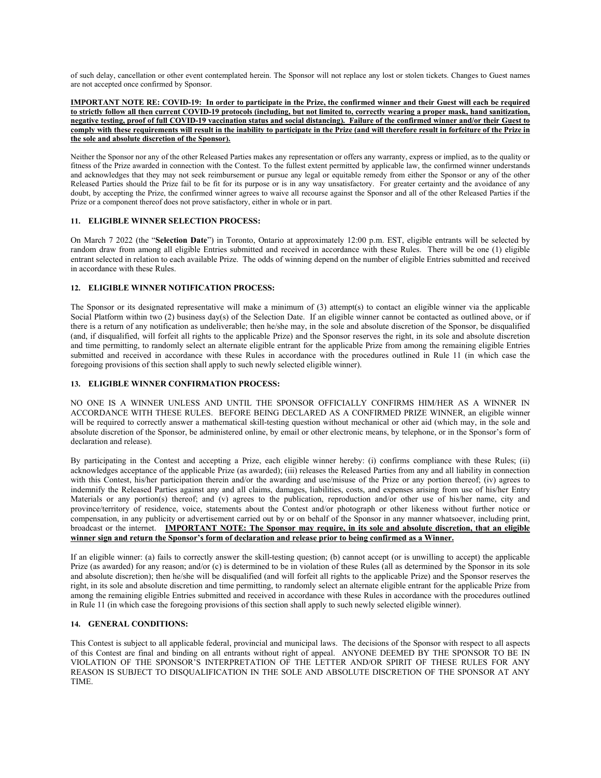of such delay, cancellation or other event contemplated herein. The Sponsor will not replace any lost or stolen tickets. Changes to Guest names are not accepted once confirmed by Sponsor.

**IMPORTANT NOTE RE: COVID-19: In order to participate in the Prize, the confirmed winner and their Guest will each be required to strictly follow all then current COVID-19 protocols (including, but not limited to, correctly wearing a proper mask, hand sanitization, negative testing, proof of full COVID-19 vaccination status and social distancing). Failure of the confirmed winner and/or their Guest to comply with these requirements will result in the inability to participate in the Prize (and will therefore result in forfeiture of the Prize in the sole and absolute discretion of the Sponsor).** 

Neither the Sponsor nor any of the other Released Parties makes any representation or offers any warranty, express or implied, as to the quality or fitness of the Prize awarded in connection with the Contest. To the fullest extent permitted by applicable law, the confirmed winner understands and acknowledges that they may not seek reimbursement or pursue any legal or equitable remedy from either the Sponsor or any of the other Released Parties should the Prize fail to be fit for its purpose or is in any way unsatisfactory. For greater certainty and the avoidance of any doubt, by accepting the Prize, the confirmed winner agrees to waive all recourse against the Sponsor and all of the other Released Parties if the Prize or a component thereof does not prove satisfactory, either in whole or in part.

# **11. ELIGIBLE WINNER SELECTION PROCESS:**

On March 7 2022 (the "**Selection Date**") in Toronto, Ontario at approximately 12:00 p.m. EST, eligible entrants will be selected by random draw from among all eligible Entries submitted and received in accordance with these Rules. There will be one (1) eligible entrant selected in relation to each available Prize. The odds of winning depend on the number of eligible Entries submitted and received in accordance with these Rules.

# **12. ELIGIBLE WINNER NOTIFICATION PROCESS:**

The Sponsor or its designated representative will make a minimum of (3) attempt(s) to contact an eligible winner via the applicable Social Platform within two (2) business day(s) of the Selection Date. If an eligible winner cannot be contacted as outlined above, or if there is a return of any notification as undeliverable; then he/she may, in the sole and absolute discretion of the Sponsor, be disqualified (and, if disqualified, will forfeit all rights to the applicable Prize) and the Sponsor reserves the right, in its sole and absolute discretion and time permitting, to randomly select an alternate eligible entrant for the applicable Prize from among the remaining eligible Entries submitted and received in accordance with these Rules in accordance with the procedures outlined in Rule 11 (in which case the foregoing provisions of this section shall apply to such newly selected eligible winner).

# **13. ELIGIBLE WINNER CONFIRMATION PROCESS:**

NO ONE IS A WINNER UNLESS AND UNTIL THE SPONSOR OFFICIALLY CONFIRMS HIM/HER AS A WINNER IN ACCORDANCE WITH THESE RULES. BEFORE BEING DECLARED AS A CONFIRMED PRIZE WINNER, an eligible winner will be required to correctly answer a mathematical skill-testing question without mechanical or other aid (which may, in the sole and absolute discretion of the Sponsor, be administered online, by email or other electronic means, by telephone, or in the Sponsor's form of declaration and release).

By participating in the Contest and accepting a Prize, each eligible winner hereby: (i) confirms compliance with these Rules; (ii) acknowledges acceptance of the applicable Prize (as awarded); (iii) releases the Released Parties from any and all liability in connection with this Contest, his/her participation therein and/or the awarding and use/misuse of the Prize or any portion thereof; (iv) agrees to indemnify the Released Parties against any and all claims, damages, liabilities, costs, and expenses arising from use of his/her Entry Materials or any portion(s) thereof; and (v) agrees to the publication, reproduction and/or other use of his/her name, city and province/territory of residence, voice, statements about the Contest and/or photograph or other likeness without further notice or compensation, in any publicity or advertisement carried out by or on behalf of the Sponsor in any manner whatsoever, including print, broadcast or the internet. **IMPORTANT NOTE: The Sponsor may require, in its sole and absolute discretion, that an eligible winner sign and return the Sponsor's form of declaration and release prior to being confirmed as a Winner.**

If an eligible winner: (a) fails to correctly answer the skill-testing question; (b) cannot accept (or is unwilling to accept) the applicable Prize (as awarded) for any reason; and/or (c) is determined to be in violation of these Rules (all as determined by the Sponsor in its sole and absolute discretion); then he/she will be disqualified (and will forfeit all rights to the applicable Prize) and the Sponsor reserves the right, in its sole and absolute discretion and time permitting, to randomly select an alternate eligible entrant for the applicable Prize from among the remaining eligible Entries submitted and received in accordance with these Rules in accordance with the procedures outlined in Rule 11 (in which case the foregoing provisions of this section shall apply to such newly selected eligible winner).

# **14. GENERAL CONDITIONS:**

This Contest is subject to all applicable federal, provincial and municipal laws. The decisions of the Sponsor with respect to all aspects of this Contest are final and binding on all entrants without right of appeal. ANYONE DEEMED BY THE SPONSOR TO BE IN VIOLATION OF THE SPONSOR'S INTERPRETATION OF THE LETTER AND/OR SPIRIT OF THESE RULES FOR ANY REASON IS SUBJECT TO DISQUALIFICATION IN THE SOLE AND ABSOLUTE DISCRETION OF THE SPONSOR AT ANY TIME.